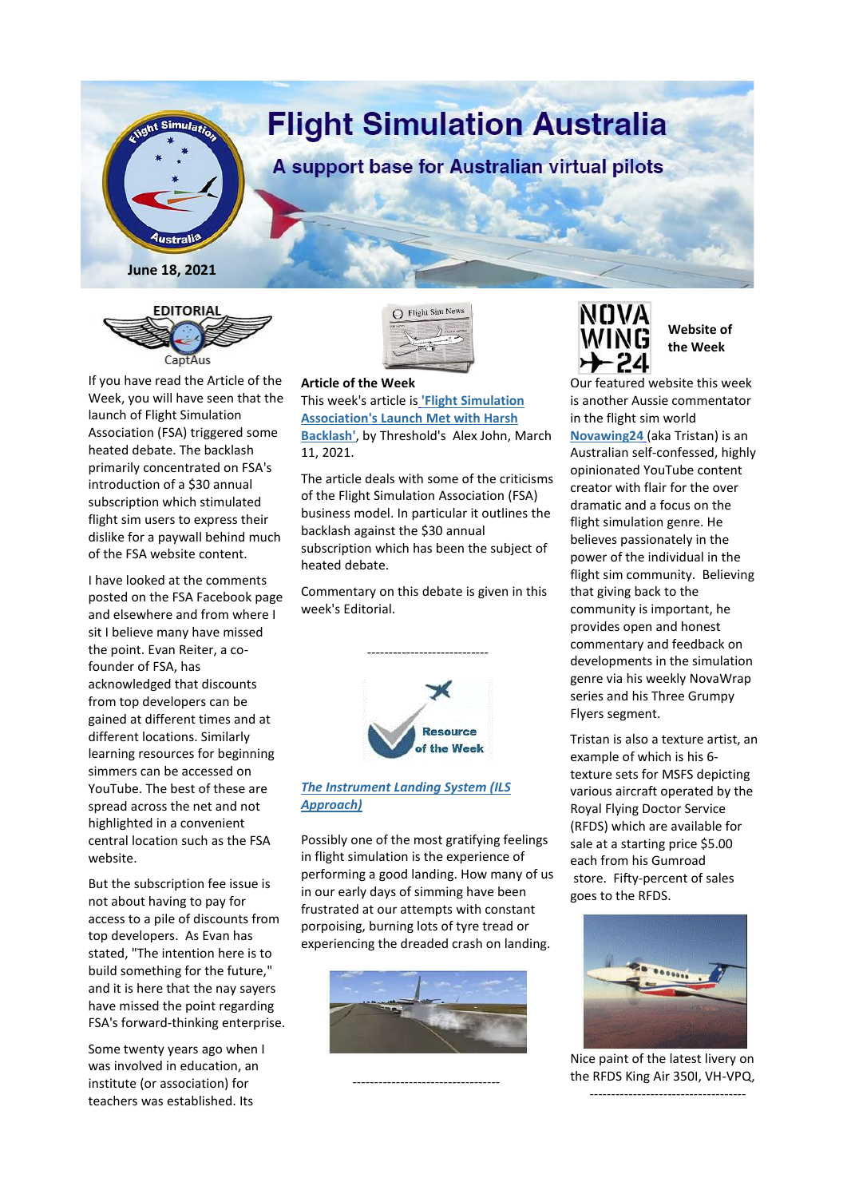



If you have read the Article of the Week, you will have seen that the launch of Flight Simulation Association (FSA) triggered some heated debate. The backlash primarily concentrated on FSA's introduction of a \$30 annual subscription which stimulated flight sim users to express their dislike for a paywall behind much of the FSA website content.

I have looked at the comments posted on the FSA Facebook page and elsewhere and from where I sit I believe many have missed the point. Evan Reiter, a cofounder of FSA, has acknowledged that discounts from top developers can be gained at different times and at different locations. Similarly learning resources for beginning simmers can be accessed on YouTube. The best of these are spread across the net and not highlighted in a convenient central location such as the FSA website.

But the subscription fee issue is not about having to pay for access to a pile of discounts from top developers. As Evan has stated, "The intention here is to build something for the future," and it is here that the nay sayers have missed the point regarding FSA's forward-thinking enterprise.

Some twenty years ago when I was involved in education, an institute (or association) for teachers was established. Its



## **Article of the Week**

This week's article is **'Flight [Simulation](https://www.thresholdx.net/news/fsalhb) [Association's](https://www.thresholdx.net/news/fsalhb) Launch Met with Harsh [Backlash'](https://www.thresholdx.net/news/fsalhb)**, by Threshold's Alex John, March 11, 2021.

The article deals with some of the criticisms of the Flight Simulation Association (FSA) business model. In particular it outlines the backlash against the \$30 annual subscription which has been the subject of heated debate.

Commentary on this debate is given in this week's Editorial.

----------------------------



## *The [Instrument](https://3824fed8-18d8-4769-be3b-46b72a5b8caf.filesusr.com/ugd/8e6da7_d9ead0f2fe9c439fa4abe3583da3c382.pdf) Landing System (ILS [Approach\)](https://3824fed8-18d8-4769-be3b-46b72a5b8caf.filesusr.com/ugd/8e6da7_d9ead0f2fe9c439fa4abe3583da3c382.pdf)*

Possibly one of the most gratifying feelings in flight simulation is the experience of performing a good landing. How many of us in our early days of simming have been frustrated at our attempts with constant porpoising, burning lots of tyre tread or experiencing the dreaded crash on landing.



----------------------------------

NOVA **WING** 

## **Website of the Week**

Our featured website this week is another Aussie commentator in the flight sim world **[Novawing24](https://www.youtube.com/user/novawing24)** (aka Tristan) is an Australian self-confessed, highly opinionated YouTube content creator with flair for the over

dramatic and a focus on the flight simulation genre. He believes passionately in the power of the individual in the flight sim community. Believing that giving back to the community is important, he provides open and honest commentary and feedback on developments in the simulation genre via his weekly NovaWrap series and his Three Grumpy Flyers segment.

Tristan is also a texture artist, an example of which is his 6 texture sets for MSFS depicting various aircraft operated by the Royal Flying Doctor Service (RFDS) which are available for sale at a starting price \$5.00 each from his Gumroad store. Fifty-percent of sales goes to the RFDS.



Nice paint of the latest livery on the RFDS King Air 350I, VH-VPQ, ------------------------------------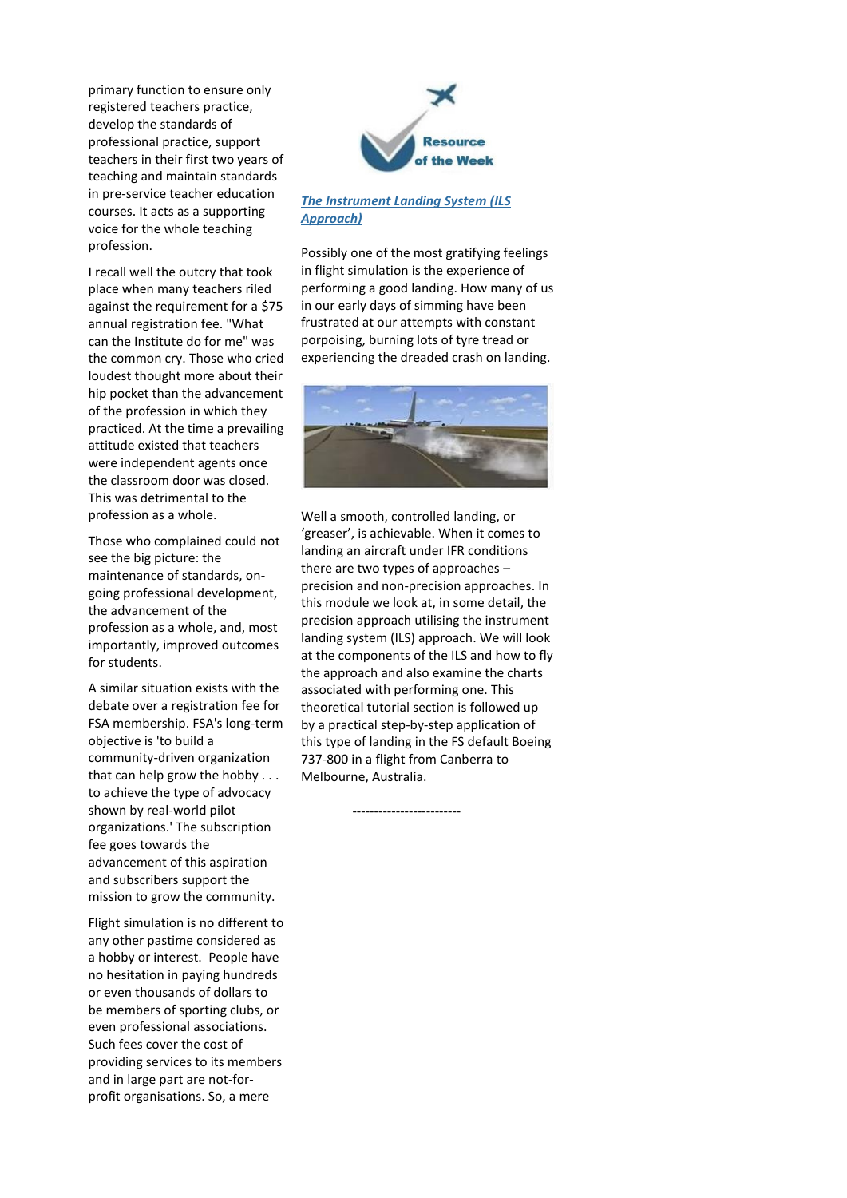primary function to ensure only registered teachers practice, develop the standards of professional practice, support teachers in their first two years of teaching and maintain standards in pre-service teacher education courses. It acts as a supporting voice for the whole teaching profession.

I recall well the outcry that took place when many teachers riled against the requirement for a \$75 annual registration fee. "What can the Institute do for me" was the common cry. Those who cried loudest thought more about their hip pocket than the advancement of the profession in which they practiced. At the time a prevailing attitude existed that teachers were independent agents once the classroom door was closed. This was detrimental to the profession as a whole.

Those who complained could not see the big picture: the maintenance of standards, ongoing professional development, the advancement of the profession as a whole, and, most importantly, improved outcomes for students.

A similar situation exists with the debate over a registration fee for FSA membership. FSA's long-term objective is 'to build a community-driven organization that can help grow the hobby . . . to achieve the type of advocacy shown by real-world pilot organizations.' The subscription fee goes towards the advancement of this aspiration and subscribers support the mission to grow the community.

Flight simulation is no different to any other pastime considered as a hobby or interest. People have no hesitation in paying hundreds or even thousands of dollars to be members of sporting clubs, or even professional associations. Such fees cover the cost of providing services to its members and in large part are not-forprofit organisations. So, a mere



## *The [Instrument](https://3824fed8-18d8-4769-be3b-46b72a5b8caf.filesusr.com/ugd/8e6da7_d9ead0f2fe9c439fa4abe3583da3c382.pdf) Landing System (ILS [Approach\)](https://3824fed8-18d8-4769-be3b-46b72a5b8caf.filesusr.com/ugd/8e6da7_d9ead0f2fe9c439fa4abe3583da3c382.pdf)*

Possibly one of the most gratifying feelings in flight simulation is the experience of performing a good landing. How many of us in our early days of simming have been frustrated at our attempts with constant porpoising, burning lots of tyre tread or experiencing the dreaded crash on landing.



Well a smooth, controlled landing, or 'greaser', is achievable. When it comes to landing an aircraft under IFR conditions there are two types of approaches – precision and non-precision approaches. In this module we look at, in some detail, the precision approach utilising the instrument landing system (ILS) approach. We will look at the components of the ILS and how to fly the approach and also examine the charts associated with performing one. This theoretical tutorial section is followed up by a practical step-by-step application of this type of landing in the FS default Boeing 737-800 in a flight from Canberra to Melbourne, Australia.

-------------------------